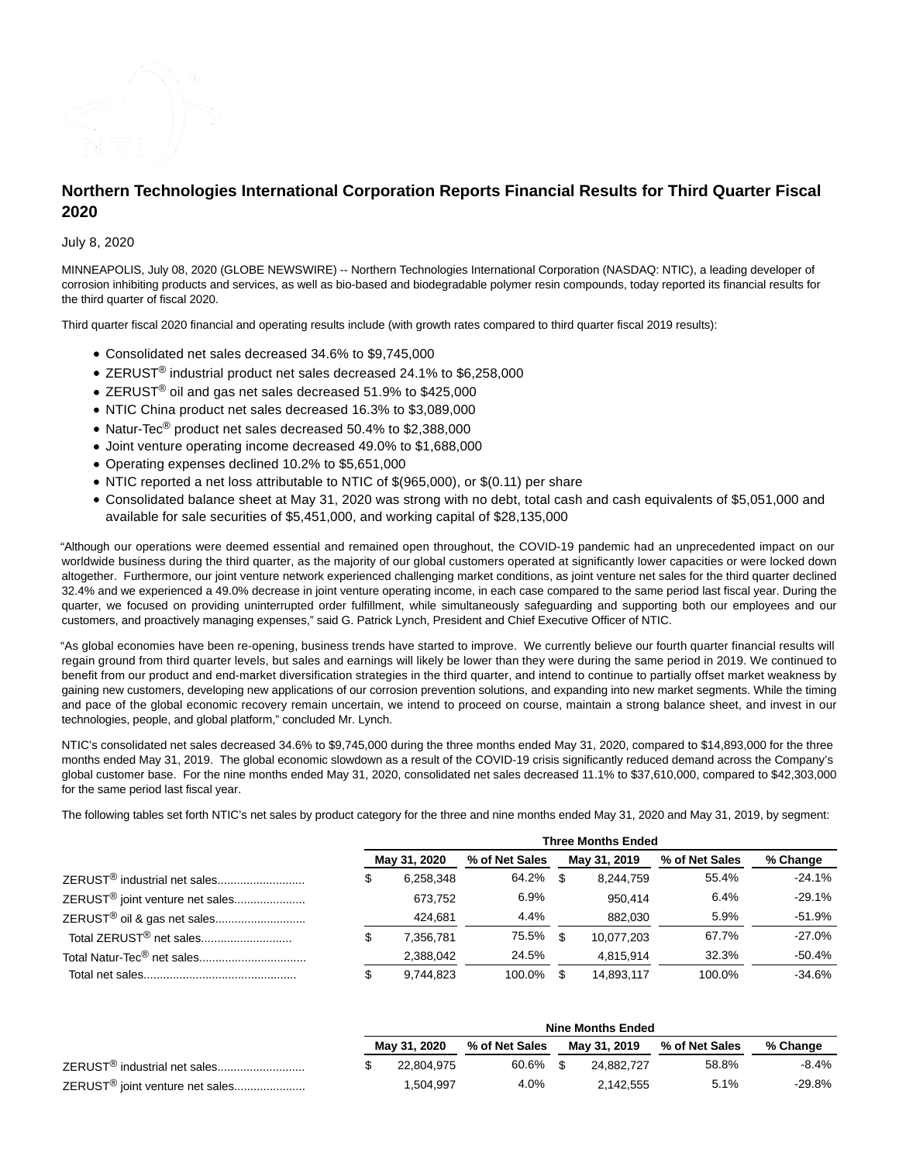

# **Northern Technologies International Corporation Reports Financial Results for Third Quarter Fiscal 2020**

July 8, 2020

MINNEAPOLIS, July 08, 2020 (GLOBE NEWSWIRE) -- Northern Technologies International Corporation (NASDAQ: NTIC), a leading developer of corrosion inhibiting products and services, as well as bio-based and biodegradable polymer resin compounds, today reported its financial results for the third quarter of fiscal 2020.

Third quarter fiscal 2020 financial and operating results include (with growth rates compared to third quarter fiscal 2019 results):

- Consolidated net sales decreased 34.6% to \$9,745,000
- ZERUST<sup>®</sup> industrial product net sales decreased 24.1% to \$6,258,000
- ZERUST® oil and gas net sales decreased 51.9% to \$425,000
- NTIC China product net sales decreased 16.3% to \$3,089,000
- Natur-Tec<sup>®</sup> product net sales decreased 50.4% to \$2,388,000
- Joint venture operating income decreased 49.0% to \$1,688,000
- Operating expenses declined 10.2% to \$5,651,000
- NTIC reported a net loss attributable to NTIC of  $\$(965,000)$ , or  $\$(0.11)$  per share
- Consolidated balance sheet at May 31, 2020 was strong with no debt, total cash and cash equivalents of \$5,051,000 and available for sale securities of \$5,451,000, and working capital of \$28,135,000

"Although our operations were deemed essential and remained open throughout, the COVID-19 pandemic had an unprecedented impact on our worldwide business during the third quarter, as the majority of our global customers operated at significantly lower capacities or were locked down altogether. Furthermore, our joint venture network experienced challenging market conditions, as joint venture net sales for the third quarter declined 32.4% and we experienced a 49.0% decrease in joint venture operating income, in each case compared to the same period last fiscal year. During the quarter, we focused on providing uninterrupted order fulfillment, while simultaneously safeguarding and supporting both our employees and our customers, and proactively managing expenses," said G. Patrick Lynch, President and Chief Executive Officer of NTIC.

"As global economies have been re-opening, business trends have started to improve. We currently believe our fourth quarter financial results will regain ground from third quarter levels, but sales and earnings will likely be lower than they were during the same period in 2019. We continued to benefit from our product and end-market diversification strategies in the third quarter, and intend to continue to partially offset market weakness by gaining new customers, developing new applications of our corrosion prevention solutions, and expanding into new market segments. While the timing and pace of the global economic recovery remain uncertain, we intend to proceed on course, maintain a strong balance sheet, and invest in our technologies, people, and global platform," concluded Mr. Lynch.

NTIC's consolidated net sales decreased 34.6% to \$9,745,000 during the three months ended May 31, 2020, compared to \$14,893,000 for the three months ended May 31, 2019. The global economic slowdown as a result of the COVID-19 crisis significantly reduced demand across the Company's global customer base. For the nine months ended May 31, 2020, consolidated net sales decreased 11.1% to \$37,610,000, compared to \$42,303,000 for the same period last fiscal year.

The following tables set forth NTIC's net sales by product category for the three and nine months ended May 31, 2020 and May 31, 2019, by segment:

|                                             | <b>Three Months Ended</b> |           |                |              |            |                |           |  |  |
|---------------------------------------------|---------------------------|-----------|----------------|--------------|------------|----------------|-----------|--|--|
|                                             | May 31, 2020              |           | % of Net Sales | May 31, 2019 |            | % of Net Sales | % Change  |  |  |
| ZERUST <sup>®</sup> industrial net sales    |                           | 6.258.348 | 64.2%          | \$.          | 8.244.759  | 55.4%          | -24.1%    |  |  |
| ZERUST <sup>®</sup> joint venture net sales |                           | 673,752   | 6.9%           |              | 950.414    | 6.4%           | $-29.1%$  |  |  |
| ZERUST <sup>®</sup> oil & gas net sales     |                           | 424.681   | 4.4%           |              | 882.030    | 5.9%           | -51.9%    |  |  |
| Total ZERUST <sup>®</sup> net sales         |                           | 7.356.781 | 75.5%          |              | 10,077,203 | 67.7%          | $-27.0\%$ |  |  |
|                                             |                           | 2,388,042 | 24.5%          |              | 4.815.914  | 32.3%          | -50.4%    |  |  |
|                                             |                           | 9,744,823 | 100.0%         | S            | 14,893,117 | 100.0%         | $-34.6%$  |  |  |

|                                             |  | <b>Nine Months Ended</b> |                |              |            |                |          |  |  |
|---------------------------------------------|--|--------------------------|----------------|--------------|------------|----------------|----------|--|--|
|                                             |  | May 31, 2020             | % of Net Sales | May 31, 2019 |            | % of Net Sales | % Change |  |  |
| ZERUST <sup>®</sup> industrial net sales    |  | 22.804.975               | 60.6%          | ፍ            | 24.882.727 | 58.8%          | -8.4%    |  |  |
| ZERUST <sup>®</sup> joint venture net sales |  | 1,504,997                | 4.0%           |              | 2.142.555  | 5.1%           | -29.8%   |  |  |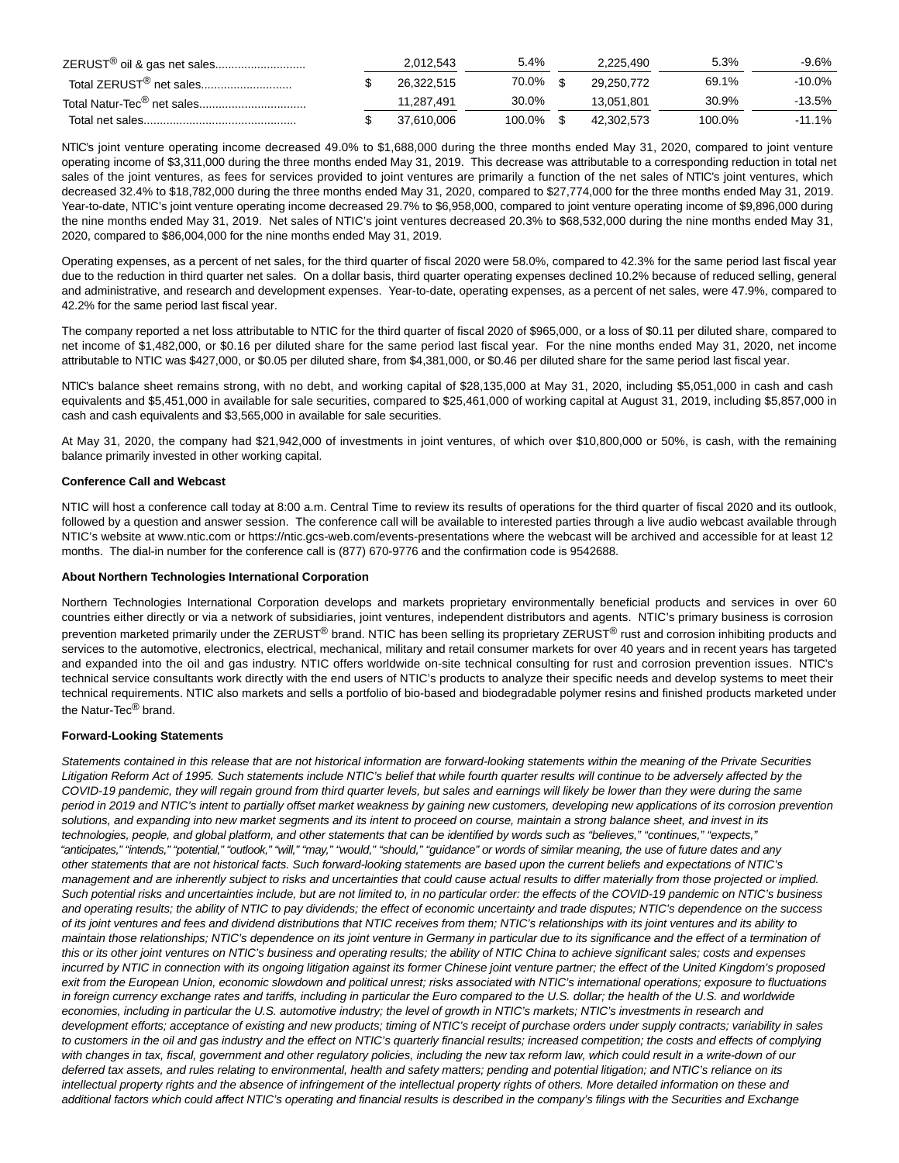| ZERUST <sup>®</sup> oil & gas net sales | 2,012,543  | 5.4%   | 2.225.490  | 5.3%   | -9.6%  |
|-----------------------------------------|------------|--------|------------|--------|--------|
| Total ZERUST <sup>®</sup> net sales     | 26.322.515 | 70.0%  | 29.250.772 | 69.1%  | -10.0% |
|                                         | 11.287.491 | 30.0%  | 13.051.801 | 30.9%  | -13.5% |
|                                         | 37.610.006 | 100.0% | 42.302.573 | 100.0% | -11.1% |

NTIC's joint venture operating income decreased 49.0% to \$1,688,000 during the three months ended May 31, 2020, compared to joint venture operating income of \$3,311,000 during the three months ended May 31, 2019. This decrease was attributable to a corresponding reduction in total net sales of the joint ventures, as fees for services provided to joint ventures are primarily a function of the net sales of NTIC's joint ventures, which decreased 32.4% to \$18,782,000 during the three months ended May 31, 2020, compared to \$27,774,000 for the three months ended May 31, 2019. Year-to-date, NTIC's joint venture operating income decreased 29.7% to \$6,958,000, compared to joint venture operating income of \$9,896,000 during the nine months ended May 31, 2019. Net sales of NTIC's joint ventures decreased 20.3% to \$68,532,000 during the nine months ended May 31, 2020, compared to \$86,004,000 for the nine months ended May 31, 2019.

Operating expenses, as a percent of net sales, for the third quarter of fiscal 2020 were 58.0%, compared to 42.3% for the same period last fiscal year due to the reduction in third quarter net sales. On a dollar basis, third quarter operating expenses declined 10.2% because of reduced selling, general and administrative, and research and development expenses. Year-to-date, operating expenses, as a percent of net sales, were 47.9%, compared to 42.2% for the same period last fiscal year.

The company reported a net loss attributable to NTIC for the third quarter of fiscal 2020 of \$965,000, or a loss of \$0.11 per diluted share, compared to net income of \$1,482,000, or \$0.16 per diluted share for the same period last fiscal year. For the nine months ended May 31, 2020, net income attributable to NTIC was \$427,000, or \$0.05 per diluted share, from \$4,381,000, or \$0.46 per diluted share for the same period last fiscal year.

NTIC's balance sheet remains strong, with no debt, and working capital of \$28,135,000 at May 31, 2020, including \$5,051,000 in cash and cash equivalents and \$5,451,000 in available for sale securities, compared to \$25,461,000 of working capital at August 31, 2019, including \$5,857,000 in cash and cash equivalents and \$3,565,000 in available for sale securities.

At May 31, 2020, the company had \$21,942,000 of investments in joint ventures, of which over \$10,800,000 or 50%, is cash, with the remaining balance primarily invested in other working capital.

### **Conference Call and Webcast**

NTIC will host a conference call today at 8:00 a.m. Central Time to review its results of operations for the third quarter of fiscal 2020 and its outlook, followed by a question and answer session. The conference call will be available to interested parties through a live audio webcast available through NTIC's website at www.ntic.com or https://ntic.gcs-web.com/events-presentations where the webcast will be archived and accessible for at least 12 months. The dial-in number for the conference call is (877) 670-9776 and the confirmation code is 9542688.

#### **About Northern Technologies International Corporation**

Northern Technologies International Corporation develops and markets proprietary environmentally beneficial products and services in over 60 countries either directly or via a network of subsidiaries, joint ventures, independent distributors and agents. NTIC's primary business is corrosion prevention marketed primarily under the ZERUST® brand. NTIC has been selling its proprietary ZERUST<sup>®</sup> rust and corrosion inhibiting products and services to the automotive, electronics, electrical, mechanical, military and retail consumer markets for over 40 years and in recent years has targeted and expanded into the oil and gas industry. NTIC offers worldwide on-site technical consulting for rust and corrosion prevention issues. NTIC's technical service consultants work directly with the end users of NTIC's products to analyze their specific needs and develop systems to meet their technical requirements. NTIC also markets and sells a portfolio of bio-based and biodegradable polymer resins and finished products marketed under the Natur-Tec<sup>®</sup> brand.

### **Forward-Looking Statements**

Statements contained in this release that are not historical information are forward-looking statements within the meaning of the Private Securities Litigation Reform Act of 1995. Such statements include NTIC's belief that while fourth quarter results will continue to be adversely affected by the COVID-19 pandemic, they will regain ground from third quarter levels, but sales and earnings will likely be lower than they were during the same period in 2019 and NTIC's intent to partially offset market weakness by gaining new customers, developing new applications of its corrosion prevention solutions, and expanding into new market segments and its intent to proceed on course, maintain a strong balance sheet, and invest in its technologies, people, and global platform, and other statements that can be identified by words such as "believes," "continues," "expects," "anticipates," "intends," "potential," "outlook," "will," "may," "would," "should," "guidance" or words of similar meaning, the use of future dates and any other statements that are not historical facts. Such forward-looking statements are based upon the current beliefs and expectations of NTIC's management and are inherently subject to risks and uncertainties that could cause actual results to differ materially from those projected or implied. Such potential risks and uncertainties include, but are not limited to, in no particular order: the effects of the COVID-19 pandemic on NTIC's business and operating results; the ability of NTIC to pay dividends; the effect of economic uncertainty and trade disputes; NTIC's dependence on the success of its joint ventures and fees and dividend distributions that NTIC receives from them; NTIC's relationships with its joint ventures and its ability to maintain those relationships; NTIC's dependence on its joint venture in Germany in particular due to its significance and the effect of a termination of this or its other joint ventures on NTIC's business and operating results; the ability of NTIC China to achieve significant sales; costs and expenses incurred by NTIC in connection with its ongoing litigation against its former Chinese joint venture partner; the effect of the United Kingdom's proposed exit from the European Union, economic slowdown and political unrest; risks associated with NTIC's international operations; exposure to fluctuations in foreign currency exchange rates and tariffs, including in particular the Euro compared to the U.S. dollar; the health of the U.S. and worldwide economies, including in particular the U.S. automotive industry; the level of growth in NTIC's markets; NTIC's investments in research and development efforts; acceptance of existing and new products; timing of NTIC's receipt of purchase orders under supply contracts; variability in sales to customers in the oil and gas industry and the effect on NTIC's quarterly financial results; increased competition; the costs and effects of complying with changes in tax, fiscal, government and other regulatory policies, including the new tax reform law, which could result in a write-down of our deferred tax assets, and rules relating to environmental, health and safety matters; pending and potential litigation; and NTIC's reliance on its intellectual property rights and the absence of infringement of the intellectual property rights of others. More detailed information on these and additional factors which could affect NTIC's operating and financial results is described in the company's filings with the Securities and Exchange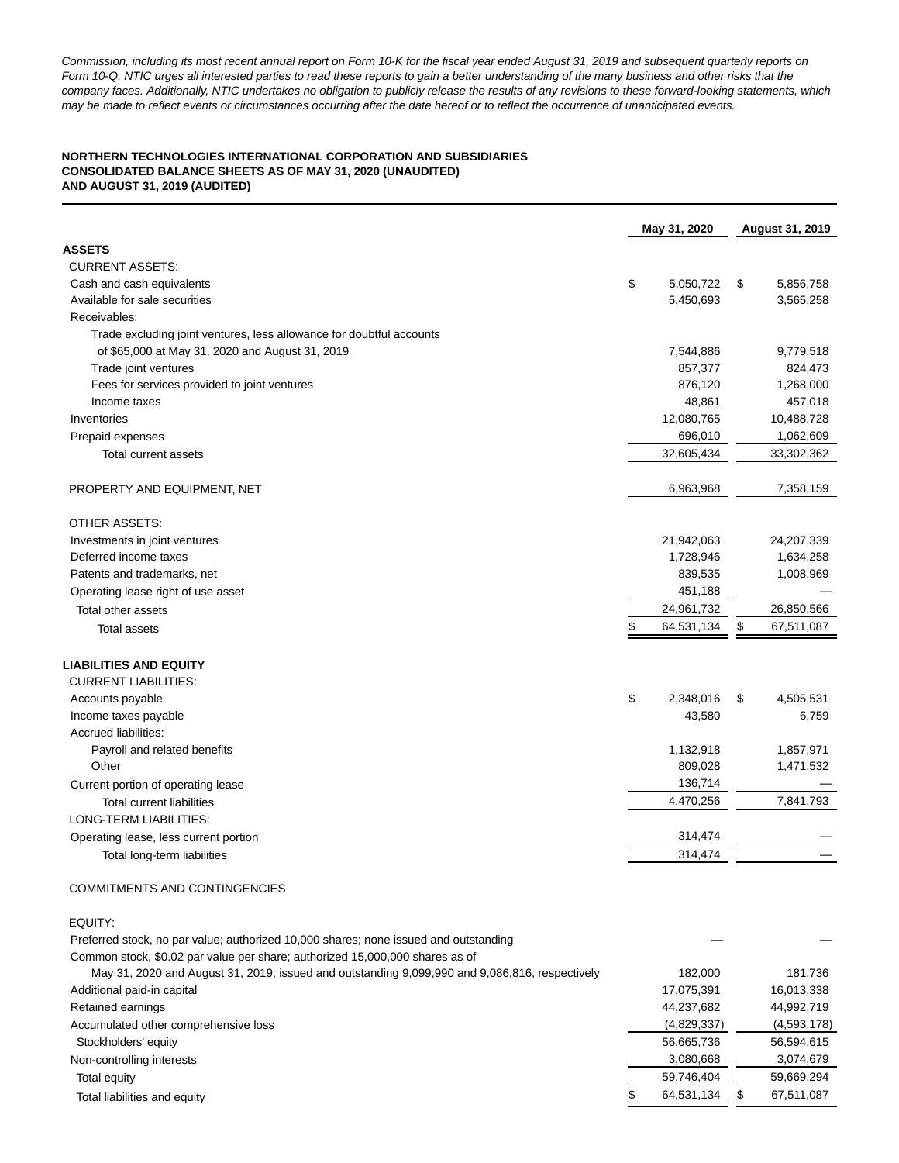Commission, including its most recent annual report on Form 10-K for the fiscal year ended August 31, 2019 and subsequent quarterly reports on Form 10-Q. NTIC urges all interested parties to read these reports to gain a better understanding of the many business and other risks that the company faces. Additionally, NTIC undertakes no obligation to publicly release the results of any revisions to these forward-looking statements, which may be made to reflect events or circumstances occurring after the date hereof or to reflect the occurrence of unanticipated events.

## **NORTHERN TECHNOLOGIES INTERNATIONAL CORPORATION AND SUBSIDIARIES CONSOLIDATED BALANCE SHEETS AS OF MAY 31, 2020 (UNAUDITED) AND AUGUST 31, 2019 (AUDITED)**

|                                                                                                | May 31, 2020     | August 31, 2019  |
|------------------------------------------------------------------------------------------------|------------------|------------------|
| <b>ASSETS</b>                                                                                  |                  |                  |
| <b>CURRENT ASSETS:</b>                                                                         |                  |                  |
| Cash and cash equivalents                                                                      | \$<br>5,050,722  | \$<br>5,856,758  |
| Available for sale securities                                                                  | 5,450,693        | 3,565,258        |
| Receivables:                                                                                   |                  |                  |
| Trade excluding joint ventures, less allowance for doubtful accounts                           |                  |                  |
| of \$65,000 at May 31, 2020 and August 31, 2019                                                | 7,544,886        | 9,779,518        |
| Trade joint ventures                                                                           | 857,377          | 824,473          |
| Fees for services provided to joint ventures                                                   | 876,120          | 1,268,000        |
| Income taxes                                                                                   | 48,861           | 457,018          |
| Inventories                                                                                    | 12,080,765       | 10,488,728       |
| Prepaid expenses                                                                               | 696,010          | 1,062,609        |
| Total current assets                                                                           | 32,605,434       | 33,302,362       |
| PROPERTY AND EQUIPMENT, NET                                                                    | 6,963,968        | 7,358,159        |
| OTHER ASSETS:                                                                                  |                  |                  |
| Investments in joint ventures                                                                  | 21,942,063       | 24,207,339       |
| Deferred income taxes                                                                          | 1,728,946        | 1,634,258        |
| Patents and trademarks, net                                                                    | 839,535          | 1,008,969        |
| Operating lease right of use asset                                                             | 451,188          |                  |
| Total other assets                                                                             | 24,961,732       | 26,850,566       |
| <b>Total assets</b>                                                                            | \$<br>64,531,134 | \$<br>67,511,087 |
| LIABILITIES AND EQUITY                                                                         |                  |                  |
| <b>CURRENT LIABILITIES:</b>                                                                    |                  |                  |
| Accounts payable                                                                               | \$<br>2,348,016  | \$<br>4,505,531  |
| Income taxes payable                                                                           | 43,580           | 6,759            |
| Accrued liabilities:                                                                           |                  |                  |
| Payroll and related benefits                                                                   | 1,132,918        | 1,857,971        |
| Other                                                                                          | 809,028          | 1,471,532        |
| Current portion of operating lease                                                             | 136,714          |                  |
| <b>Total current liabilities</b>                                                               | 4,470,256        | 7,841,793        |
| LONG-TERM LIABILITIES:                                                                         |                  |                  |
| Operating lease, less current portion                                                          | 314,474          |                  |
| Total long-term liabilities                                                                    | 314,474          |                  |
| COMMITMENTS AND CONTINGENCIES                                                                  |                  |                  |
| EQUITY:                                                                                        |                  |                  |
| Preferred stock, no par value; authorized 10,000 shares; none issued and outstanding           |                  |                  |
| Common stock, \$0.02 par value per share; authorized 15,000,000 shares as of                   |                  |                  |
| May 31, 2020 and August 31, 2019; issued and outstanding 9,099,990 and 9,086,816, respectively | 182,000          | 181,736          |
| Additional paid-in capital                                                                     | 17,075,391       | 16,013,338       |
| Retained earnings                                                                              | 44,237,682       | 44,992,719       |
| Accumulated other comprehensive loss                                                           | (4,829,337)      | (4,593,178)      |
| Stockholders' equity                                                                           | 56,665,736       | 56,594,615       |
| Non-controlling interests                                                                      | 3,080,668        | 3,074,679        |
| Total equity                                                                                   | 59,746,404       | 59,669,294       |
| Total liabilities and equity                                                                   | 64,531,134       | \$<br>67,511,087 |